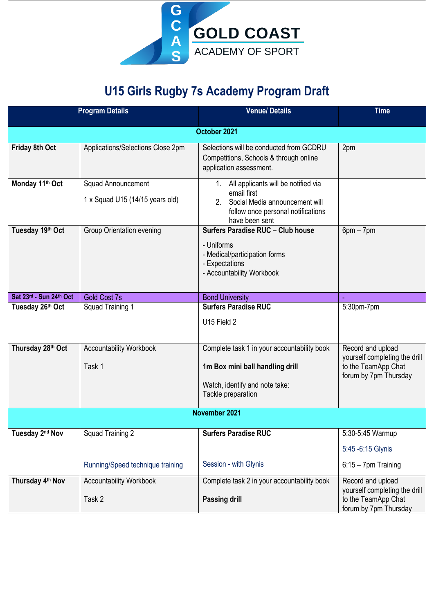

## **U15 Girls Rugby 7s Academy Program Draft**

|                             | <b>Program Details</b>                                | <b>Venue/Details</b>                                                                                                                                  | <b>Time</b>                                                                                        |  |
|-----------------------------|-------------------------------------------------------|-------------------------------------------------------------------------------------------------------------------------------------------------------|----------------------------------------------------------------------------------------------------|--|
| October 2021                |                                                       |                                                                                                                                                       |                                                                                                    |  |
| Friday 8th Oct              | Applications/Selections Close 2pm                     | Selections will be conducted from GCDRU<br>Competitions, Schools & through online<br>application assessment.                                          | 2pm                                                                                                |  |
| Monday 11th Oct             | Squad Announcement<br>1 x Squad U15 (14/15 years old) | 1. All applicants will be notified via<br>email first<br>Social Media announcement will<br>2.<br>follow once personal notifications<br>have been sent |                                                                                                    |  |
| Tuesday 19th Oct            | <b>Group Orientation evening</b>                      | Surfers Paradise RUC - Club house<br>- Uniforms<br>- Medical/participation forms<br>- Expectations<br>- Accountability Workbook                       | $6pm - 7pm$                                                                                        |  |
| Sat 23rd - Sun 24th Oct     | <b>Gold Cost 7s</b>                                   | <b>Bond University</b>                                                                                                                                | u,                                                                                                 |  |
| Tuesday 26th Oct            | Squad Training 1                                      | <b>Surfers Paradise RUC</b>                                                                                                                           | 5:30pm-7pm                                                                                         |  |
|                             |                                                       | U15 Field 2                                                                                                                                           |                                                                                                    |  |
| Thursday 28th Oct           | <b>Accountability Workbook</b><br>Task 1              | Complete task 1 in your accountability book<br>1m Box mini ball handling drill<br>Watch, identify and note take:<br>Tackle preparation                | Record and upload<br>yourself completing the drill<br>to the TeamApp Chat<br>forum by 7pm Thursday |  |
| November 2021               |                                                       |                                                                                                                                                       |                                                                                                    |  |
| Tuesday 2 <sup>nd</sup> Nov | Squad Training 2                                      | <b>Surfers Paradise RUC</b>                                                                                                                           | 5:30-5:45 Warmup                                                                                   |  |
|                             |                                                       |                                                                                                                                                       | 5:45 -6:15 Glynis                                                                                  |  |
|                             | Running/Speed technique training                      | Session - with Glynis                                                                                                                                 | $6:15 - 7$ pm Training                                                                             |  |
| Thursday 4th Nov            | <b>Accountability Workbook</b><br>Task 2              | Complete task 2 in your accountability book<br><b>Passing drill</b>                                                                                   | Record and upload<br>yourself completing the drill<br>to the TeamApp Chat<br>forum by 7pm Thursday |  |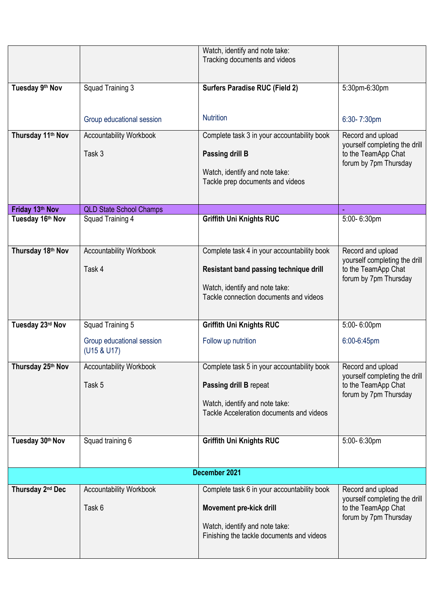|                               |                                          | Watch, identify and note take:<br>Tracking documents and videos    |                                                                               |  |
|-------------------------------|------------------------------------------|--------------------------------------------------------------------|-------------------------------------------------------------------------------|--|
|                               |                                          |                                                                    |                                                                               |  |
| Tuesday 9th Nov               | Squad Training 3                         | <b>Surfers Paradise RUC (Field 2)</b>                              | 5:30pm-6:30pm                                                                 |  |
|                               |                                          |                                                                    |                                                                               |  |
|                               | Group educational session                | <b>Nutrition</b>                                                   | 6:30-7:30pm                                                                   |  |
| Thursday 11 <sup>th</sup> Nov | <b>Accountability Workbook</b>           | Complete task 3 in your accountability book                        | Record and upload<br>yourself completing the drill                            |  |
|                               | Task 3                                   | Passing drill B                                                    | to the TeamApp Chat<br>forum by 7pm Thursday                                  |  |
|                               |                                          | Watch, identify and note take:<br>Tackle prep documents and videos |                                                                               |  |
|                               |                                          |                                                                    |                                                                               |  |
| Friday 13th Nov               | <b>QLD State School Champs</b>           |                                                                    |                                                                               |  |
| Tuesday 16th Nov              | Squad Training 4                         | Griffith Uni Knights RUC                                           | 5:00-6:30pm                                                                   |  |
| Thursday 18th Nov             | <b>Accountability Workbook</b>           | Complete task 4 in your accountability book                        | Record and upload                                                             |  |
|                               | Task 4                                   | Resistant band passing technique drill                             | yourself completing the drill<br>to the TeamApp Chat                          |  |
|                               |                                          | Watch, identify and note take:                                     | forum by 7pm Thursday                                                         |  |
|                               |                                          | Tackle connection documents and videos                             |                                                                               |  |
| Tuesday 23rd Nov              | Squad Training 5                         | <b>Griffith Uni Knights RUC</b>                                    | 5:00-6:00pm                                                                   |  |
|                               | Group educational session<br>(U15 & U17) | Follow up nutrition                                                | 6:00-6:45pm                                                                   |  |
| Thursday 25th Nov             | <b>Accountability Workbook</b>           | Complete task 5 in your accountability book                        | Record and upload                                                             |  |
|                               | Task 5                                   | Passing drill B repeat                                             | yourself completing the drill<br>to the TeamApp Chat<br>forum by 7pm Thursday |  |
|                               |                                          | Watch, identify and note take:                                     |                                                                               |  |
|                               |                                          | Tackle Acceleration documents and videos                           |                                                                               |  |
| Tuesday 30th Nov              | Squad training 6                         | <b>Griffith Uni Knights RUC</b>                                    | 5:00-6:30pm                                                                   |  |
|                               |                                          |                                                                    |                                                                               |  |
| December 2021                 |                                          |                                                                    |                                                                               |  |
| Thursday 2 <sup>nd</sup> Dec  | <b>Accountability Workbook</b>           | Complete task 6 in your accountability book                        | Record and upload<br>yourself completing the drill                            |  |
|                               | Task 6                                   | Movement pre-kick drill                                            | to the TeamApp Chat<br>forum by 7pm Thursday                                  |  |
|                               |                                          | Watch, identify and note take:                                     |                                                                               |  |
|                               |                                          | Finishing the tackle documents and videos                          |                                                                               |  |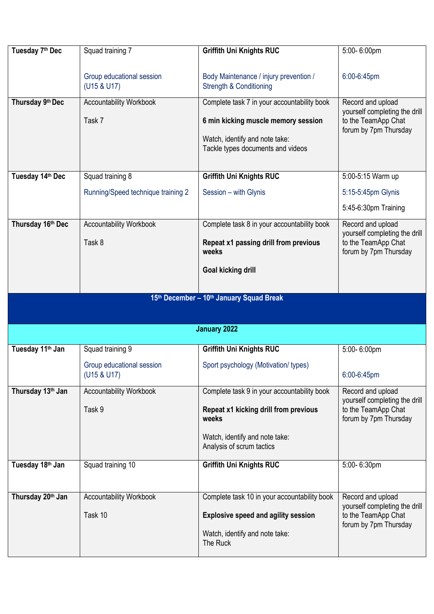| Tuesday 7 <sup>th</sup> Dec  | Squad training 7                         | <b>Griffith Uni Knights RUC</b>              | 5:00-6:00pm                                          |
|------------------------------|------------------------------------------|----------------------------------------------|------------------------------------------------------|
|                              |                                          |                                              |                                                      |
|                              | Group educational session                | Body Maintenance / injury prevention /       | 6:00-6:45pm                                          |
|                              | (U15 & U17)                              | <b>Strength &amp; Conditioning</b>           |                                                      |
| Thursday 9th Dec             | <b>Accountability Workbook</b>           | Complete task 7 in your accountability book  | Record and upload                                    |
|                              |                                          |                                              | yourself completing the drill                        |
|                              | Task 7                                   | 6 min kicking muscle memory session          | to the TeamApp Chat<br>forum by 7pm Thursday         |
|                              |                                          | Watch, identify and note take:               |                                                      |
|                              |                                          | Tackle types documents and videos            |                                                      |
|                              |                                          |                                              |                                                      |
| Tuesday 14th Dec             | Squad training 8                         | <b>Griffith Uni Knights RUC</b>              | 5:00-5:15 Warm up                                    |
|                              | Running/Speed technique training 2       | Session - with Glynis                        | 5:15-5:45pm Glynis                                   |
|                              |                                          |                                              | 5:45-6:30pm Training                                 |
| Thursday 16th Dec            | <b>Accountability Workbook</b>           | Complete task 8 in your accountability book  | Record and upload<br>yourself completing the drill   |
|                              | Task 8                                   | Repeat x1 passing drill from previous        | to the TeamApp Chat                                  |
|                              |                                          | weeks                                        | forum by 7pm Thursday                                |
|                              |                                          | <b>Goal kicking drill</b>                    |                                                      |
|                              |                                          |                                              |                                                      |
|                              |                                          |                                              |                                                      |
|                              |                                          |                                              |                                                      |
|                              |                                          | 15th December - 10th January Squad Break     |                                                      |
|                              |                                          |                                              |                                                      |
|                              |                                          | <b>January 2022</b>                          |                                                      |
| Tuesday 11 <sup>th</sup> Jan | Squad training 9                         | <b>Griffith Uni Knights RUC</b>              | 5:00-6:00pm                                          |
|                              |                                          |                                              |                                                      |
|                              | Group educational session<br>(U15 & U17) | Sport psychology (Motivation/types)          | 6:00-6:45pm                                          |
|                              |                                          |                                              |                                                      |
| Thursday 13th Jan            | <b>Accountability Workbook</b>           | Complete task 9 in your accountability book  | Record and upload<br>yourself completing the drill   |
|                              | Task 9                                   | Repeat x1 kicking drill from previous        | to the TeamApp Chat                                  |
|                              |                                          | weeks                                        | forum by 7pm Thursday                                |
|                              |                                          | Watch, identify and note take:               |                                                      |
|                              |                                          | Analysis of scrum tactics                    |                                                      |
| Tuesday 18th Jan             | Squad training 10                        |                                              | 5:00-6:30pm                                          |
|                              |                                          | Griffith Uni Knights RUC                     |                                                      |
|                              |                                          |                                              |                                                      |
| Thursday 20th Jan            | <b>Accountability Workbook</b>           | Complete task 10 in your accountability book | Record and upload                                    |
|                              | Task 10                                  | <b>Explosive speed and agility session</b>   | yourself completing the drill<br>to the TeamApp Chat |
|                              |                                          |                                              | forum by 7pm Thursday                                |
|                              |                                          | Watch, identify and note take:<br>The Ruck   |                                                      |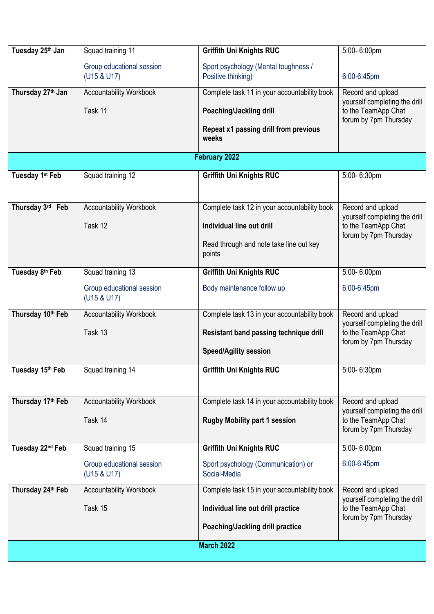| Tuesday 25th Jan            | Squad training 11                        | <b>Griffith Uni Knights RUC</b>                | 5:00-6:00pm                                                                   |
|-----------------------------|------------------------------------------|------------------------------------------------|-------------------------------------------------------------------------------|
|                             | Group educational session                | Sport psychology (Mental toughness /           |                                                                               |
|                             | (U15 & U17)                              | Positive thinking)                             | 6:00-6:45pm                                                                   |
| Thursday 27th Jan           | <b>Accountability Workbook</b>           | Complete task 11 in your accountability book   | Record and upload                                                             |
|                             |                                          |                                                | yourself completing the drill                                                 |
|                             | Task 11                                  | Poaching/Jackling drill                        | to the TeamApp Chat<br>forum by 7pm Thursday                                  |
|                             |                                          | Repeat x1 passing drill from previous<br>weeks |                                                                               |
|                             |                                          | February 2022                                  |                                                                               |
| Tuesday 1 <sup>st</sup> Feb | Squad training 12                        | <b>Griffith Uni Knights RUC</b>                | 5:00-6:30pm                                                                   |
|                             |                                          |                                                |                                                                               |
| Thursday 3rd Feb            | <b>Accountability Workbook</b>           | Complete task 12 in your accountability book   | Record and upload                                                             |
|                             | Task 12                                  | Individual line out drill                      | yourself completing the drill<br>to the TeamApp Chat<br>forum by 7pm Thursday |
|                             |                                          | Read through and note take line out key        |                                                                               |
|                             |                                          | points                                         |                                                                               |
| Tuesday 8th Feb             | Squad training 13                        | Griffith Uni Knights RUC                       | 5:00-6:00pm                                                                   |
|                             | Group educational session<br>(U15 & U17) | Body maintenance follow up                     | 6:00-6:45pm                                                                   |
| Thursday 10th Feb           | <b>Accountability Workbook</b>           | Complete task 13 in your accountability book   | Record and upload                                                             |
|                             | Task 13                                  | Resistant band passing technique drill         | yourself completing the drill<br>to the TeamApp Chat                          |
|                             |                                          | <b>Speed/Agility session</b>                   | forum by 7pm Thursday                                                         |
| Tuesday 15th Feb            | Squad training 14                        | <b>Griffith Uni Knights RUC</b>                | 5:00-6:30pm                                                                   |
|                             |                                          |                                                |                                                                               |
| Thursday 17th Feb           | <b>Accountability Workbook</b>           | Complete task 14 in your accountability book   | Record and upload                                                             |
|                             | Task 14                                  | <b>Rugby Mobility part 1 session</b>           | yourself completing the drill<br>to the TeamApp Chat                          |
|                             |                                          |                                                | forum by 7pm Thursday                                                         |
| Tuesday 22nd Feb            | Squad training 15                        | <b>Griffith Uni Knights RUC</b>                | 5:00-6:00pm                                                                   |
|                             | Group educational session                | Sport psychology (Communication) or            | 6:00-6:45pm                                                                   |
|                             | (U15 & U17)                              | Social-Media                                   |                                                                               |
| Thursday 24th Feb           | <b>Accountability Workbook</b>           | Complete task 15 in your accountability book   | Record and upload<br>yourself completing the drill                            |
|                             | Task 15                                  | Individual line out drill practice             | to the TeamApp Chat                                                           |
|                             |                                          | Poaching/Jackling drill practice               | forum by 7pm Thursday                                                         |
| <b>March 2022</b>           |                                          |                                                |                                                                               |
|                             |                                          |                                                |                                                                               |